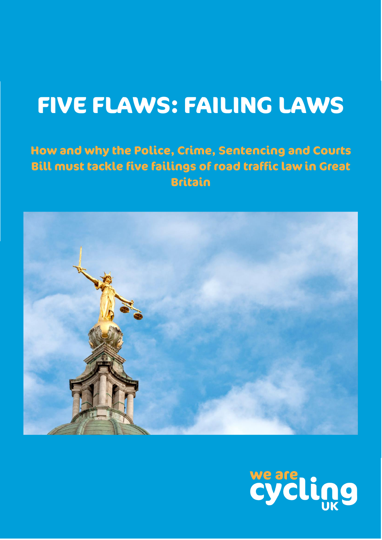# **FIVE FLAWS: FAILING LAWS**

# **How and why the Police, Crime, Sentencing and Courts Bill must tackle five failings of road traffic law in Great Britain**



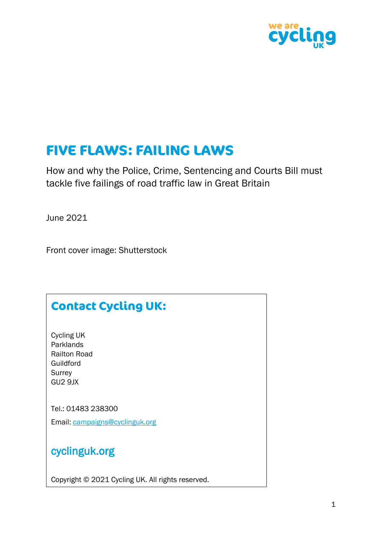

# **FIVE FLAWS: FAILING LAWS**

How and why the Police, Crime, Sentencing and Courts Bill must tackle five failings of road traffic law in Great Britain

June 2021

Front cover image: Shutterstock

# **Contact Cycling UK:**

Cycling UK Parklands Railton Road Guildford Surrey GU2 9JX

Tel.: 01483 238300

Email: [campaigns@cyclinguk.org](mailto:campaigns@cyclinguk.org)

### cyclinguk.org

Copyright © 2021 Cycling UK. All rights reserved.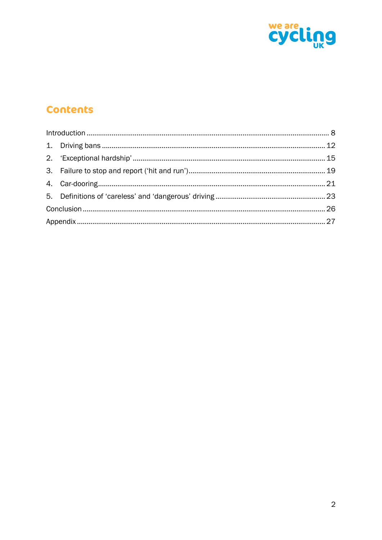

### **Contents**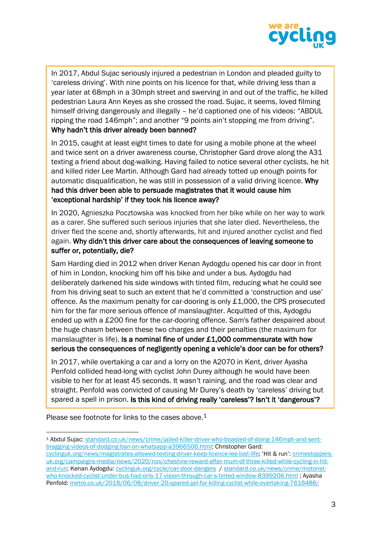

In 2017, Abdul Sujac seriously injured a pedestrian in London and pleaded guilty to 'careless driving'. With nine points on his licence for that, while driving less than a year later at 68mph in a 30mph street and swerving in and out of the traffic, he killed pedestrian Laura Ann Keyes as she crossed the road. Sujac, it seems, loved filming himself driving dangerously and illegally – he'd captioned one of his videos: "ABDUL ripping the road 146mph"; and another "9 points ain't stopping me from driving". Why hadn't this driver already been banned?

In 2015, caught at least eight times to date for using a mobile phone at the wheel and twice sent on a driver awareness course, Christopher Gard drove along the A31 texting a friend about dog-walking. Having failed to notice several other cyclists, he hit and killed rider Lee Martin. Although Gard had already totted up enough points for automatic disqualification, he was still in possession of a valid driving licence. Why had this driver been able to persuade magistrates that it would cause him 'exceptional hardship' if they took his licence away?

In 2020, Agnieszka Pocztowska was knocked from her bike while on her way to work as a carer. She suffered such serious injuries that she later died. Nevertheless, the driver fled the scene and, shortly afterwards, hit and injured another cyclist and fled again. Why didn't this driver care about the consequences of leaving someone to suffer or, potentially, die?

Sam Harding died in 2012 when driver Kenan Aydogdu opened his car door in front of him in London, knocking him off his bike and under a bus. Aydogdu had deliberately darkened his side windows with tinted film, reducing what he could see from his driving seat to such an extent that he'd committed a 'construction and use' offence. As the maximum penalty for car-dooring is only £1,000, the CPS prosecuted him for the far more serious offence of manslaughter. Acquitted of this, Aydogdu ended up with a £200 fine for the car-dooring offence. Sam's father despaired about the huge chasm between these two charges and their penalties (the maximum for manslaughter is life). Is a nominal fine of under £1,000 commensurate with how serious the consequences of negligently opening a vehicle's door can be for others?

In 2017, while overtaking a car and a lorry on the A2070 in Kent, driver Ayasha Penfold collided head-long with cyclist John Durey although he would have been visible to her for at least 45 seconds. It wasn't raining, and the road was clear and straight. Penfold was convicted of causing Mr Durey's death by 'careless' driving but spared a spell in prison. Is this kind of driving really 'careless'? Isn't it 'dangerous'?

Please see footnote for links to the cases above.<sup>1</sup>

<sup>1</sup> Abdul Sujac: [standard.co.uk/news/crime/jailed-killer-driver-who-boasted-of-doing-146mph-and-sent](https://www.standard.co.uk/news/crime/jailed-killer-driver-who-boasted-of-doing-146mph-and-sent-bragging-videos-of-dodging-ban-on-whatsapp-a3966506.html)[bragging-videos-of-dodging-ban-on-whatsapp-a3966506.html;](https://www.standard.co.uk/news/crime/jailed-killer-driver-who-boasted-of-doing-146mph-and-sent-bragging-videos-of-dodging-ban-on-whatsapp-a3966506.html) Christopher Gard:

[cyclinguk.org/news/magistrates-allowed-texting-driver-keep-licence-lee-lost-life](https://www.cyclinguk.org/news/magistrates-allowed-texting-driver-keep-licence-lee-lost-life); 'Hit & run': [crimestoppers](https://crimestoppers-uk.org/campaigns-media/news/2020/nov/cheshire-reward-after-mum-of-three-killed-while-cycling-in-hit-and-run)[uk.org/campaigns-media/news/2020/nov/cheshire-reward-after-mum-of-three-killed-while-cycling-in-hit](https://crimestoppers-uk.org/campaigns-media/news/2020/nov/cheshire-reward-after-mum-of-three-killed-while-cycling-in-hit-and-run)[and-run;](https://crimestoppers-uk.org/campaigns-media/news/2020/nov/cheshire-reward-after-mum-of-three-killed-while-cycling-in-hit-and-run) Kenan Aydogdu: [cyclinguk.org/cycle/car-door-dangers](http://www.cyclinguk.org/cycle/car-door-dangers) / [standard.co.uk/news/crime/motorist](https://www.standard.co.uk/news/crime/motorist-who-knocked-cyclist-under-bus-had-only-17-vision-through-car-s-tinted-window-8399206.html)[who-knocked-cyclist-under-bus-had-only-17-vision-through-car-s-tinted-window-8399206.html](https://www.standard.co.uk/news/crime/motorist-who-knocked-cyclist-under-bus-had-only-17-vision-through-car-s-tinted-window-8399206.html) ; Ayasha Penfold: [metro.co.uk/2018/06/08/driver-20-spared-jail-for-killing-cyclist-while-overtaking-7616488/](https://metro.co.uk/2018/06/08/driver-20-spared-jail-for-killing-cyclist-while-overtaking-7616488/)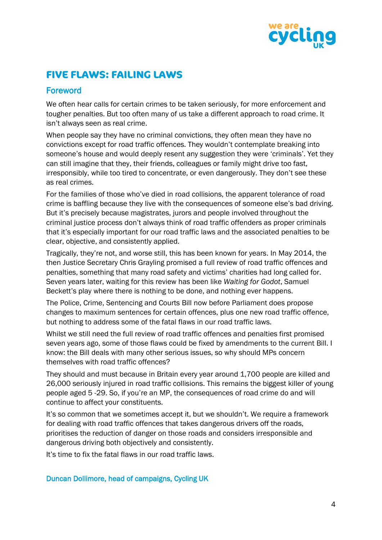

### **FIVE FLAWS: FAILING LAWS**

### Foreword

We often hear calls for certain crimes to be taken seriously, for more enforcement and tougher penalties. But too often many of us take a different approach to road crime. It isn't always seen as real crime.

When people say they have no criminal convictions, they often mean they have no convictions except for road traffic offences. They wouldn't contemplate breaking into someone's house and would deeply resent any suggestion they were 'criminals'. Yet they can still imagine that they, their friends, colleagues or family might drive too fast, irresponsibly, while too tired to concentrate, or even dangerously. They don't see these as real crimes.

For the families of those who've died in road collisions, the apparent tolerance of road crime is baffling because they live with the consequences of someone else's bad driving. But it's precisely because magistrates, jurors and people involved throughout the criminal justice process don't always think of road traffic offenders as proper criminals that it's especially important for our road traffic laws and the associated penalties to be clear, objective, and consistently applied.

Tragically, they're not, and worse still, this has been known for years. In May 2014, the then Justice Secretary Chris Grayling promised a full review of road traffic offences and penalties, something that many road safety and victims' charities had long called for. Seven years later, waiting for this review has been like *Waiting for Godot*, Samuel Beckett's play where there is nothing to be done, and nothing ever happens.

The Police, Crime, Sentencing and Courts Bill now before Parliament does propose changes to maximum sentences for certain offences, plus one new road traffic offence, but nothing to address some of the fatal flaws in our road traffic laws.

Whilst we still need the full review of road traffic offences and penalties first promised seven years ago, some of those flaws could be fixed by amendments to the current Bill. I know: the Bill deals with many other serious issues, so why should MPs concern themselves with road traffic offences?

They should and must because in Britain every year around 1,700 people are killed and 26,000 seriously injured in road traffic collisions. This remains the biggest killer of young people aged 5 -29. So, if you're an MP, the consequences of road crime do and will continue to affect your constituents.

It's so common that we sometimes accept it, but we shouldn't. We require a framework for dealing with road traffic offences that takes dangerous drivers off the roads, prioritises the reduction of danger on those roads and considers irresponsible and dangerous driving both objectively and consistently.

It's time to fix the fatal flaws in our road traffic laws.

### Duncan Dollimore, head of campaigns, Cycling UK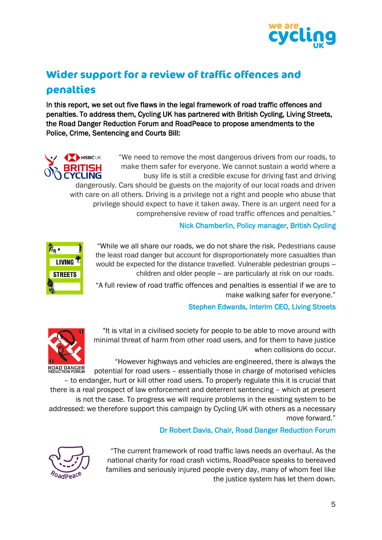

### **Wider support for a review of traffic offences and penalties**

In this report, we set out five flaws in the legal framework of road traffic offences and penalties. To address them, Cycling UK has partnered with British Cycling, Living Streets, the Road Danger Reduction Forum and RoadPeace to propose amendments to the Police, Crime, Sentencing and Courts Bill:

"We need to remove the most dangerous drivers from our roads, to **HSBC** UK make them safer for everyone. We cannot sustain a world where a busy life is still a credible excuse for driving fast and driving dangerously. Cars should be guests on the majority of our local roads and driven with care on all others. Driving is a privilege not a right and people who abuse that privilege should expect to have it taken away. There is an urgent need for a comprehensive review of road traffic offences and penalties."

#### Nick Chamberlin, Policy manager, British Cycling



"While we all share our roads, we do not share the risk. Pedestrians cause the least road danger but account for disproportionately more casualties than would be expected for the distance travelled. Vulnerable pedestrian groups – children and older people – are particularly at risk on our roads.

"A full review of road traffic offences and penalties is essential if we are to make walking safer for everyone."

### Stephen Edwards, Interim CEO, Living Streets

"It is vital in a civilised society for people to be able to move around with minimal threat of harm from other road users, and for them to have justice when collisions do occur.

"However highways and vehicles are engineered, there is always the potential for road users – essentially those in charge of motorised vehicles

– to endanger, hurt or kill other road users. To properly regulate this it is crucial that there is a real prospect of law enforcement and deterrent sentencing – which at present is not the case. To progress we will require problems in the existing system to be

addressed: we therefore support this campaign by Cycling UK with others as a necessary move forward."

### Dr Robert Davis, Chair, Road Danger Reduction Forum

"The current framework of road traffic laws needs an overhaul. As the national charity for road crash victims, RoadPeace speaks to bereaved families and seriously injured people every day, many of whom feel like the justice system has let them down.



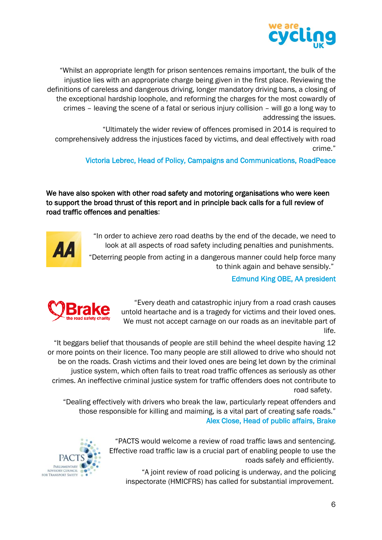

"Whilst an appropriate length for prison sentences remains important, the bulk of the injustice lies with an appropriate charge being given in the first place. Reviewing the definitions of careless and dangerous driving, longer mandatory driving bans, a closing of the exceptional hardship loophole, and reforming the charges for the most cowardly of crimes – leaving the scene of a fatal or serious injury collision – will go a long way to addressing the issues.

"Ultimately the wider review of offences promised in 2014 is required to comprehensively address the injustices faced by victims, and deal effectively with road crime."

Victoria Lebrec, Head of Policy, Campaigns and Communications, RoadPeace

We have also spoken with other road safety and motoring organisations who were keen to support the broad thrust of this report and in principle back calls for a full review of road traffic offences and penalties:

> "In order to achieve zero road deaths by the end of the decade, we need to look at all aspects of road safety including penalties and punishments.



"Deterring people from acting in a dangerous manner could help force many to think again and behave sensibly."

### Edmund King OBE, AA president

"Every death and catastrophic injury from a road crash causes untold heartache and is a tragedy for victims and their loved ones. We must not accept carnage on our roads as an inevitable part of life.

"It beggars belief that thousands of people are still behind the wheel despite having 12 or more points on their licence. Too many people are still allowed to drive who should not be on the roads. Crash victims and their loved ones are being let down by the criminal justice system, which often fails to treat road traffic offences as seriously as other crimes. An ineffective criminal justice system for traffic offenders does not contribute to road safety.

"Dealing effectively with drivers who break the law, particularly repeat offenders and those responsible for killing and maiming, is a vital part of creating safe roads." Alex Close, Head of public affairs, Brake

> "PACTS would welcome a review of road traffic laws and sentencing. Effective road traffic law is a crucial part of enabling people to use the roads safely and efficiently.



"A joint review of road policing is underway, and the policing inspectorate (HMICFRS) has called for substantial improvement.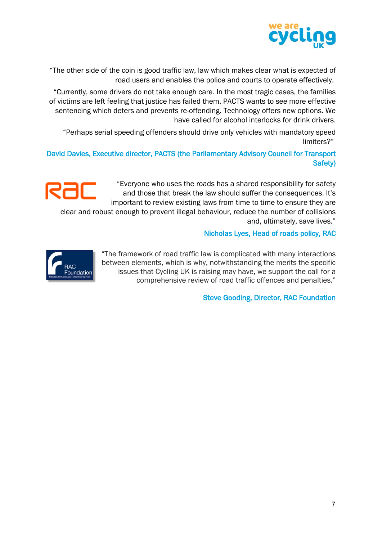

"The other side of the coin is good traffic law, law which makes clear what is expected of road users and enables the police and courts to operate effectively.

"Currently, some drivers do not take enough care. In the most tragic cases, the families of victims are left feeling that justice has failed them. PACTS wants to see more effective sentencing which deters and prevents re-offending. Technology offers new options. We have called for alcohol interlocks for drink drivers.

"Perhaps serial speeding offenders should drive only vehicles with mandatory speed limiters?"

David Davies, Executive director, PACTS (the Parliamentary Advisory Council for Transport Safety)

> "Everyone who uses the roads has a shared responsibility for safety and those that break the law should suffer the consequences. It's important to review existing laws from time to time to ensure they are

clear and robust enough to prevent illegal behaviour, reduce the number of collisions and, ultimately, save lives."

### Nicholas Lyes, Head of roads policy, RAC



"The framework of road traffic law is complicated with many interactions between elements, which is why, notwithstanding the merits the specific issues that Cycling UK is raising may have, we support the call for a comprehensive review of road traffic offences and penalties."

Steve Gooding, Director, RAC Foundation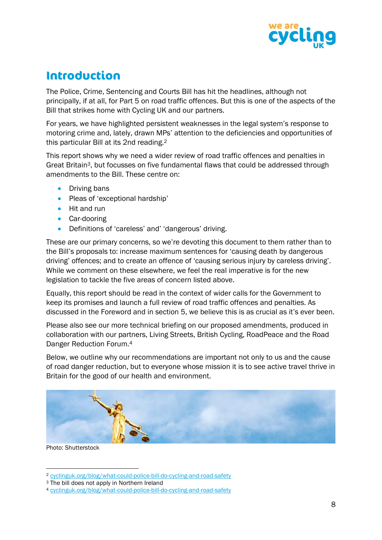

### <span id="page-8-0"></span>**Introduction**

The Police, Crime, Sentencing and Courts Bill has hit the headlines, although not principally, if at all, for Part 5 on road traffic offences. But this is one of the aspects of the Bill that strikes home with Cycling UK and our partners.

For years, we have highlighted persistent weaknesses in the legal system's response to motoring crime and, lately, drawn MPs' attention to the deficiencies and opportunities of this particular Bill at its 2nd reading.<sup>2</sup>

This report shows why we need a wider review of road traffic offences and penalties in Great Britain3, but focusses on five fundamental flaws that could be addressed through amendments to the Bill. These centre on:

- Driving bans
- Pleas of 'exceptional hardship'
- Hit and run
- Car-dooring
- Definitions of 'careless' and' 'dangerous' driving.

These are our primary concerns, so we're devoting this document to them rather than to the Bill's proposals to: increase maximum sentences for 'causing death by dangerous driving' offences; and to create an offence of 'causing serious injury by careless driving'. While we comment on these elsewhere, we feel the real imperative is for the new legislation to tackle the five areas of concern listed above.

Equally, this report should be read in the context of wider calls for the Government to keep its promises and launch a full review of road traffic offences and penalties. As discussed in the Foreword and in section 5, we believe this is as crucial as it's ever been.

Please also see our more technical briefing on our proposed amendments, produced in collaboration with our partners, Living Streets, British Cycling, RoadPeace and the Road Danger Reduction Forum.<sup>4</sup>

Below, we outline why our recommendations are important not only to us and the cause of road danger reduction, but to everyone whose mission it is to see active travel thrive in Britain for the good of our health and environment.



Photo: Shutterstock

<sup>2</sup> [cyclinguk.org/blog/what-could-police-bill-do-cycling-and-road-safety](http://www.cyclinguk.org/blog/what-could-police-bill-do-cycling-and-road-safety)

<sup>&</sup>lt;sup>3</sup> The bill does not apply in Northern Ireland

<sup>4</sup> [cyclinguk.org/blog/what-could-police-bill-do-cycling-and-road-safety](http://www.cyclinguk.org/blog/what-could-police-bill-do-cycling-and-road-safety)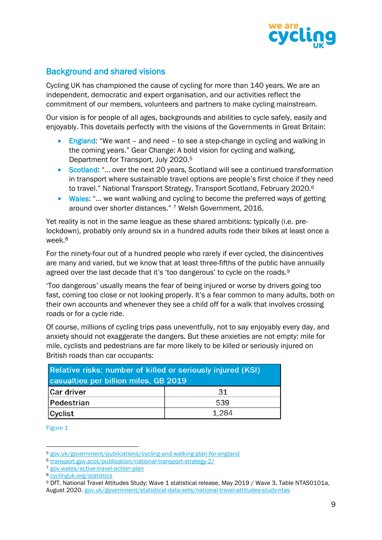

### Background and shared visions

Cycling UK has championed the cause of cycling for more than 140 years. We are an independent, democratic and expert organisation, and our activities reflect the commitment of our members, volunteers and partners to make cycling mainstream.

Our vision is for people of all ages, backgrounds and abilities to cycle safely, easily and enjoyably. This dovetails perfectly with the visions of the Governments in Great Britain:

- England: "We want and need to see a step-change in cycling and walking in the coming years." Gear Change: A bold vision for cycling and walking, Department for Transport, July 2020.<sup>5</sup>
- Scotland: "... over the next 20 years, Scotland will see a continued transformation in transport where sustainable travel options are people's first choice if they need to travel." National Transport Strategy, Transport Scotland, February 2020.<sup>6</sup>
- Wales: "... we want walking and cycling to become the preferred ways of getting around over shorter distances." <sup>7</sup> Welsh Government, 2016.

Yet reality is not in the same league as these shared ambitions: typically (i.e. prelockdown), probably only around six in a hundred adults rode their bikes at least once a week.<sup>8</sup>

For the ninety-four out of a hundred people who rarely if ever cycled, the disincentives are many and varied, but we know that at least three-fifths of the public have annually agreed over the last decade that it's 'too dangerous' to cycle on the roads.<sup>9</sup>

'Too dangerous' usually means the fear of being injured or worse by drivers going too fast, coming too close or not looking properly. It's a fear common to many adults, both on their own accounts and whenever they see a child off for a walk that involves crossing roads or for a cycle ride.

Of course, millions of cycling trips pass uneventfully, not to say enjoyably every day, and anxiety should not exaggerate the dangers. But these anxieties are not empty: mile for mile, cyclists and pedestrians are far more likely to be killed or seriously injured on British roads than car occupants:

| Relative risks: number of killed or seriously injured (KSI) |       |  |  |
|-------------------------------------------------------------|-------|--|--|
| casualties per billion miles, GB 2019                       |       |  |  |
| <b>Car driver</b>                                           | 31    |  |  |
| Pedestrian                                                  | 539   |  |  |
| Cyclist                                                     | 1.284 |  |  |

Figure 1

<sup>5</sup> [gov.uk/government/publications/cycling-and-walking-plan-for-england](http://www.gov.uk/government/publications/cycling-and-walking-plan-for-england)

<sup>6</sup> [transport.gov.scot/publication/national-transport-strategy-2/](http://www.transport.gov.scot/publication/national-transport-strategy-2/)

<sup>7</sup> [gov.wales/active-travel-action-plan](https://gov.wales/active-travel-action-plan)

<sup>8</sup> [cyclinguk.org/statistics](http://www.cyclinguk.org/statistics)

<sup>9</sup> DfT. National Travel Attitudes Study: Wave 1 statistical release, May 2019 / Wave 3, Table NTAS0101a, August 2020. [gov.uk/government/statistical-data-sets/national-travel-attitudes-study-ntas](https://www.gov.uk/government/statistical-data-sets/national-travel-attitudes-study-ntas)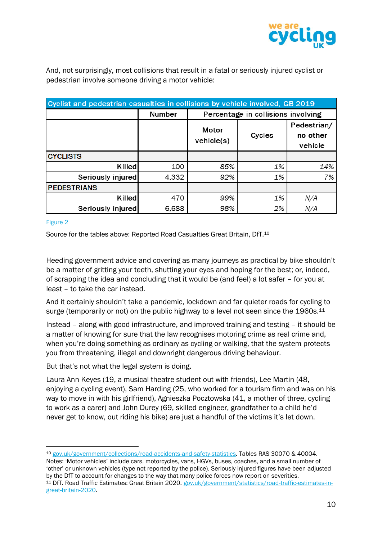

And, not surprisingly, most collisions that result in a fatal or seriously injured cyclist or pedestrian involve someone driving a motor vehicle:

| Cyclist and pedestrian casualties in collisions by vehicle involved, GB 2019 |        |                                    |        |                                    |  |
|------------------------------------------------------------------------------|--------|------------------------------------|--------|------------------------------------|--|
|                                                                              | Number | Percentage in collisions involving |        |                                    |  |
|                                                                              |        | Motor<br>vehicle(s)                | Cycles | Pedestrian/<br>no other<br>vehicle |  |
| <b>CYCLISTS</b>                                                              |        |                                    |        |                                    |  |
| Killed                                                                       | 100    | 85%                                | 1%     | 14%                                |  |
| Seriously injured                                                            | 4,332  | 92%                                | 1%     | 7%                                 |  |
| <b>PEDESTRIANS</b>                                                           |        |                                    |        |                                    |  |
| Killed                                                                       | 470    | 99%                                | 1%     | N/A                                |  |
| Seriously injured                                                            | 6,688  | 98%                                | 2%     | N/A                                |  |

#### Figure 2

Source for the tables above: Reported Road Casualties Great Britain, DfT.<sup>10</sup>

Heeding government advice and covering as many journeys as practical by bike shouldn't be a matter of gritting your teeth, shutting your eyes and hoping for the best; or, indeed, of scrapping the idea and concluding that it would be (and feel) a lot safer – for you at least – to take the car instead.

And it certainly shouldn't take a pandemic, lockdown and far quieter roads for cycling to surge (temporarily or not) on the public highway to a level not seen since the 1960s.<sup>11</sup>

Instead – along with good infrastructure, and improved training and testing – it should be a matter of knowing for sure that the law recognises motoring crime as real crime and, when you're doing something as ordinary as cycling or walking, that the system protects you from threatening, illegal and downright dangerous driving behaviour.

But that's not what the legal system is doing.

Laura Ann Keyes (19, a musical theatre student out with friends), Lee Martin (48, enjoying a cycling event), Sam Harding (25, who worked for a tourism firm and was on his way to move in with his girlfriend), Agnieszka Pocztowska (41, a mother of three, cycling to work as a carer) and John Durey (69, skilled engineer, grandfather to a child he'd never get to know, out riding his bike) are just a handful of the victims it's let down.

<sup>10</sup> [gov.uk/government/collections/road-accidents-and-safety-statistics.](http://www.gov.uk/government/collections/road-accidents-and-safety-statistics) Tables RAS 30070 & 40004. Notes: 'Motor vehicles' include cars, motorcycles, vans, HGVs, buses, coaches, and a small number of 'other' or unknown vehicles (type not reported by the police). Seriously injured figures have been adjusted by the DfT to account for changes to the way that many police forces now report on severities. <sup>11</sup> DfT. Road Traffic Estimates: Great Britain 2020. [gov.uk/government/statistics/road-traffic-estimates-in](http://www.gov.uk/government/statistics/road-traffic-estimates-in-great-britain-2020)[great-britain-2020.](http://www.gov.uk/government/statistics/road-traffic-estimates-in-great-britain-2020)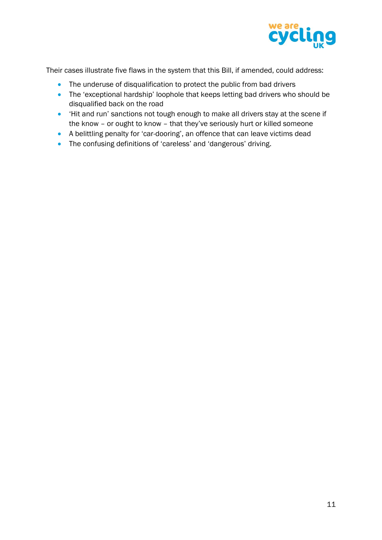

Their cases illustrate five flaws in the system that this Bill, if amended, could address:

- The underuse of disqualification to protect the public from bad drivers
- The 'exceptional hardship' loophole that keeps letting bad drivers who should be disqualified back on the road
- 'Hit and run' sanctions not tough enough to make all drivers stay at the scene if the know – or ought to know – that they've seriously hurt or killed someone
- A belittling penalty for 'car-dooring', an offence that can leave victims dead
- The confusing definitions of 'careless' and 'dangerous' driving.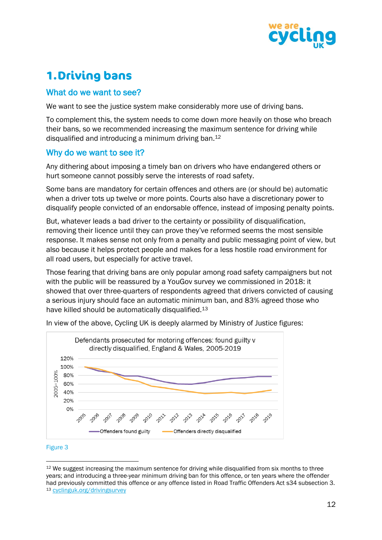

# <span id="page-12-0"></span>**1. Driving bans**

### What do we want to see?

We want to see the justice system make considerably more use of driving bans.

To complement this, the system needs to come down more heavily on those who breach their bans, so we recommended increasing the maximum sentence for driving while disqualified and introducing a minimum driving ban.<sup>12</sup>

### Why do we want to see it?

Any dithering about imposing a timely ban on drivers who have endangered others or hurt someone cannot possibly serve the interests of road safety.

Some bans are mandatory for certain offences and others are (or should be) automatic when a driver tots up twelve or more points. Courts also have a discretionary power to disqualify people convicted of an endorsable offence, instead of imposing penalty points.

But, whatever leads a bad driver to the certainty or possibility of disqualification, removing their licence until they can prove they've reformed seems the most sensible response. It makes sense not only from a penalty and public messaging point of view, but also because it helps protect people and makes for a less hostile road environment for all road users, but especially for active travel.

Those fearing that driving bans are only popular among road safety campaigners but not with the public will be reassured by a YouGov survey we commissioned in 2018: it showed that over three-quarters of respondents agreed that drivers convicted of causing a serious injury should face an automatic minimum ban, and 83% agreed those who have killed should be automatically disqualified.<sup>13</sup>



In view of the above, Cycling UK is deeply alarmed by Ministry of Justice figures:

### Figure 3

<sup>&</sup>lt;sup>12</sup> We suggest increasing the maximum sentence for driving while disqualified from six months to three years; and introducing a three-year minimum driving ban for this offence, or ten years where the offender had previously committed this offence or any offence listed in Road Traffic Offenders Act s34 subsection 3. <sup>13</sup> [cyclinguk.org/drivingsurvey](http://www.cyclinguk.org/drivingsurvey)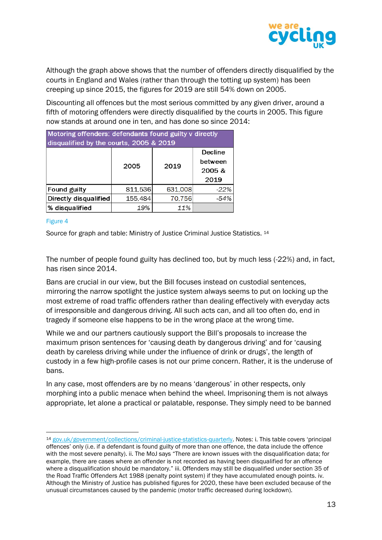

Although the graph above shows that the number of offenders directly disqualified by the courts in England and Wales (rather than through the totting up system) has been creeping up since 2015, the figures for 2019 are still 54% down on 2005.

Discounting all offences but the most serious committed by any given driver, around a fifth of motoring offenders were directly disqualified by the courts in 2005. This figure now stands at around one in ten, and has done so since 2014:

| Motoring offenders: defendants found guilty v directly |         |         |         |  |  |  |
|--------------------------------------------------------|---------|---------|---------|--|--|--|
| disqualified by the courts, 2005 & 2019                |         |         |         |  |  |  |
|                                                        | 2005    | 2019    | Decline |  |  |  |
|                                                        |         |         | between |  |  |  |
|                                                        |         |         | 2005&   |  |  |  |
|                                                        |         |         | 2019    |  |  |  |
| <b>Found guilty</b>                                    | 811,536 | 631,008 | $-22%$  |  |  |  |
| Directly disqualified                                  | 155,484 | 70,756  | $-54%$  |  |  |  |
| % disqualified                                         | 19%     | 11%     |         |  |  |  |

#### Figure 4

Source for graph and table: Ministry of Justice Criminal Justice Statistics. <sup>14</sup>

The number of people found guilty has declined too, but by much less (-22%) and, in fact, has risen since 2014.

Bans are crucial in our view, but the Bill focuses instead on custodial sentences, mirroring the narrow spotlight the justice system always seems to put on locking up the most extreme of road traffic offenders rather than dealing effectively with everyday acts of irresponsible and dangerous driving. All such acts can, and all too often do, end in tragedy if someone else happens to be in the wrong place at the wrong time.

While we and our partners cautiously support the Bill's proposals to increase the maximum prison sentences for 'causing death by dangerous driving' and for 'causing death by careless driving while under the influence of drink or drugs', the length of custody in a few high-profile cases is not our prime concern. Rather, it is the underuse of bans.

In any case, most offenders are by no means 'dangerous' in other respects, only morphing into a public menace when behind the wheel. Imprisoning them is not always appropriate, let alone a practical or palatable, response. They simply need to be banned

<sup>14</sup> [gov.uk/government/collections/criminal-justice-statistics-quarterly.](https://www.gov.uk/government/collections/criminal-justice-statistics-quarterly) Notes: i. This table covers 'principal offences' only (i.e. if a defendant is found guilty of more than one offence, the data include the offence with the most severe penalty). ii. The MoJ says "There are known issues with the disqualification data; for example, there are cases where an offender is not recorded as having been disqualified for an offence where a disqualification should be mandatory." iii. Offenders may still be disqualified under section 35 of the Road Traffic Offenders Act 1988 (penalty point system) if they have accumulated enough points. iv. Although the Ministry of Justice has published figures for 2020, these have been excluded because of the unusual circumstances caused by the pandemic (motor traffic decreased during lockdown).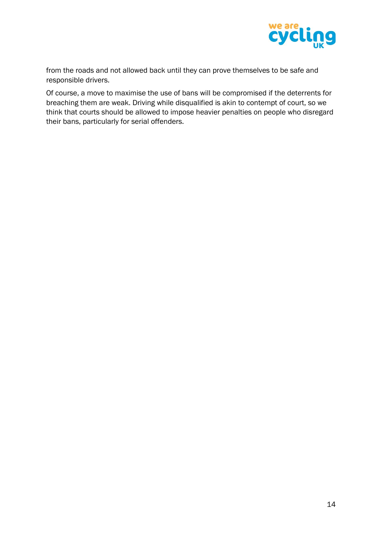

from the roads and not allowed back until they can prove themselves to be safe and responsible drivers.

Of course, a move to maximise the use of bans will be compromised if the deterrents for breaching them are weak. Driving while disqualified is akin to contempt of court, so we think that courts should be allowed to impose heavier penalties on people who disregard their bans, particularly for serial offenders.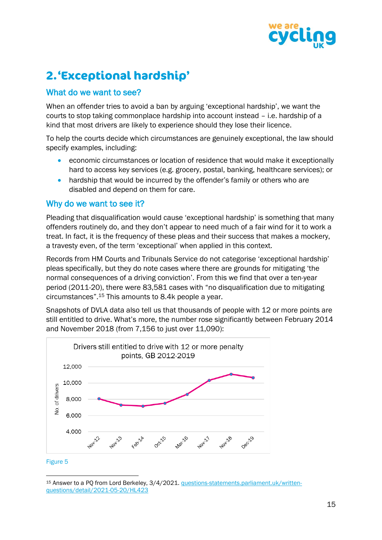

# <span id="page-15-0"></span>**2. 'Exceptional hardship'**

### What do we want to see?

When an offender tries to avoid a ban by arguing 'exceptional hardship', we want the courts to stop taking commonplace hardship into account instead – i.e. hardship of a kind that most drivers are likely to experience should they lose their licence.

To help the courts decide which circumstances are genuinely exceptional, the law should specify examples, including:

- economic circumstances or location of residence that would make it exceptionally hard to access key services (e.g. grocery, postal, banking, healthcare services); or
- hardship that would be incurred by the offender's family or others who are disabled and depend on them for care.

### Why do we want to see it?

Pleading that disqualification would cause 'exceptional hardship' is something that many offenders routinely do, and they don't appear to need much of a fair wind for it to work a treat. In fact, it is the frequency of these pleas and their success that makes a mockery, a travesty even, of the term 'exceptional' when applied in this context.

Records from HM Courts and Tribunals Service do not categorise 'exceptional hardship' pleas specifically, but they do note cases where there are grounds for mitigating 'the normal consequences of a driving conviction'. From this we find that over a ten-year period (2011-20), there were 83,581 cases with "no disqualification due to mitigating circumstances". <sup>15</sup> This amounts to 8.4k people a year.

Snapshots of DVLA data also tell us that thousands of people with 12 or more points are still entitled to drive. What's more, the number rose significantly between February 2014 and November 2018 (from 7,156 to just over 11,090):



#### Figure 5

<sup>15</sup> Answer to a PQ from Lord Berkeley, 3/4/2021. [questions-statements.parliament.uk/written](https://questions-statements.parliament.uk/written-questions/detail/2021-05-20/HL423)[questions/detail/2021-05-20/HL423](https://questions-statements.parliament.uk/written-questions/detail/2021-05-20/HL423)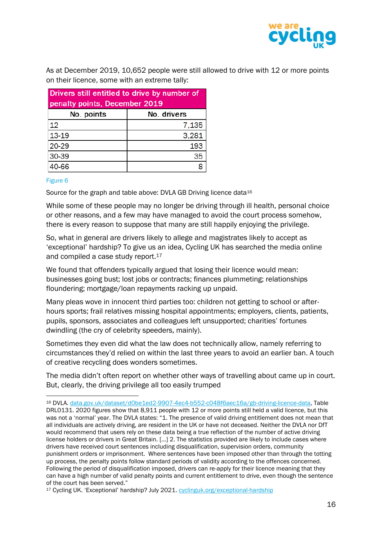

As at December 2019, 10,652 people were still allowed to drive with 12 or more points on their licence, some with an extreme tally:

| Drivers still entitled to drive by number of |             |  |  |
|----------------------------------------------|-------------|--|--|
| penalty points, December 2019                |             |  |  |
| No. points                                   | No. drivers |  |  |
| 12                                           | 7,135       |  |  |
| 13-19                                        | 3,281       |  |  |
| 20-29                                        | 193         |  |  |
| 30-39                                        | 35          |  |  |
| 40-66                                        |             |  |  |

#### Figure 6

Source for the graph and table above: DVLA GB Driving licence data<sup>16</sup>

While some of these people may no longer be driving through ill health, personal choice or other reasons, and a few may have managed to avoid the court process somehow, there is every reason to suppose that many are still happily enjoying the privilege.

So, what in general are drivers likely to allege and magistrates likely to accept as 'exceptional' hardship? To give us an idea, Cycling UK has searched the media online and compiled a case study report.<sup>17</sup>

We found that offenders typically argued that losing their licence would mean: businesses going bust; lost jobs or contracts; finances plummeting; relationships floundering; mortgage/loan repayments racking up unpaid.

Many pleas wove in innocent third parties too: children not getting to school or afterhours sports; frail relatives missing hospital appointments; employers, clients, patients, pupils, sponsors, associates and colleagues left unsupported; charities' fortunes dwindling (the cry of celebrity speeders, mainly).

Sometimes they even did what the law does not technically allow, namely referring to circumstances they'd relied on within the last three years to avoid an earlier ban. A touch of creative recycling does wonders sometimes.

The media didn't often report on whether other ways of travelling about came up in court. But, clearly, the driving privilege all too easily trumped

<sup>16</sup> DVLA. [data.gov.uk/dataset/d0be1ed2-9907-4ec4-b552-c048f6aec16a/gb-driving-licence-data,](https://data.gov.uk/dataset/d0be1ed2-9907-4ec4-b552-c048f6aec16a/gb-driving-licence-data) Table DRL0131. 2020 figures show that 8,911 people with 12 or more points still held a valid licence, but this was not a 'normal' year. The DVLA states: "1. The presence of valid driving entitlement does not mean that all individuals are actively driving, are resident in the UK or have not deceased. Neither the DVLA nor DfT would recommend that users rely on these data being a true reflection of the number of active driving license holders or drivers in Great Britain. […] 2. The statistics provided are likely to include cases where drivers have received court sentences including disqualification, supervision orders, community punishment orders or imprisonment. Where sentences have been imposed other than through the totting up process, the penalty points follow standard periods of validity according to the offences concerned. Following the period of disqualification imposed, drivers can re-apply for their licence meaning that they can have a high number of valid penalty points and current entitlement to drive, even though the sentence of the court has been served."

<sup>17</sup> Cycling UK. 'Exceptional' hardship? July 2021. [cyclinguk.org/exceptional-hardship](https://www.cyclinguk.org/exceptional-hardship)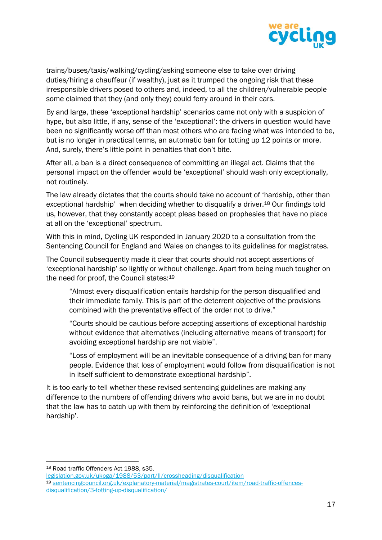

trains/buses/taxis/walking/cycling/asking someone else to take over driving duties/hiring a chauffeur (if wealthy), just as it trumped the ongoing risk that these irresponsible drivers posed to others and, indeed, to all the children/vulnerable people some claimed that they (and only they) could ferry around in their cars.

By and large, these 'exceptional hardship' scenarios came not only with a suspicion of hype, but also little, if any, sense of the 'exceptional': the drivers in question would have been no significantly worse off than most others who are facing what was intended to be, but is no longer in practical terms, an automatic ban for totting up 12 points or more. And, surely, there's little point in penalties that don't bite.

After all, a ban is a direct consequence of committing an illegal act. Claims that the personal impact on the offender would be 'exceptional' should wash only exceptionally, not routinely.

The law already dictates that the courts should take no account of 'hardship, other than exceptional hardship' when deciding whether to disqualify a driver.<sup>18</sup> Our findings told us, however, that they constantly accept pleas based on prophesies that have no place at all on the 'exceptional' spectrum.

With this in mind, Cycling UK responded in January 2020 to a consultation from the Sentencing Council for England and Wales on changes to its guidelines for magistrates.

The Council subsequently made it clear that courts should not accept assertions of 'exceptional hardship' so lightly or without challenge. Apart from being much tougher on the need for proof, the Council states:<sup>19</sup>

"Almost every disqualification entails hardship for the person disqualified and their immediate family. This is part of the deterrent objective of the provisions combined with the preventative effect of the order not to drive."

"Courts should be cautious before accepting assertions of exceptional hardship without evidence that alternatives (including alternative means of transport) for avoiding exceptional hardship are not viable".

"Loss of employment will be an inevitable consequence of a driving ban for many people. Evidence that loss of employment would follow from disqualification is not in itself sufficient to demonstrate exceptional hardship".

It is too early to tell whether these revised sentencing guidelines are making any difference to the numbers of offending drivers who avoid bans, but we are in no doubt that the law has to catch up with them by reinforcing the definition of 'exceptional hardship'.

<sup>18</sup> Road traffic Offenders Act 1988, s35.

[legislation.gov.uk/ukpga/1988/53/part/II/crossheading/disqualification](https://www.legislation.gov.uk/ukpga/1988/53/part/II/crossheading/disqualification) <sup>19</sup> [sentencingcouncil.org.uk/explanatory-material/magistrates-court/item/road-traffic-offences](http://www.sentencingcouncil.org.uk/explanatory-material/magistrates-court/item/road-traffic-offences-disqualification/3-totting-up-disqualification/)[disqualification/3-totting-up-disqualification/](http://www.sentencingcouncil.org.uk/explanatory-material/magistrates-court/item/road-traffic-offences-disqualification/3-totting-up-disqualification/)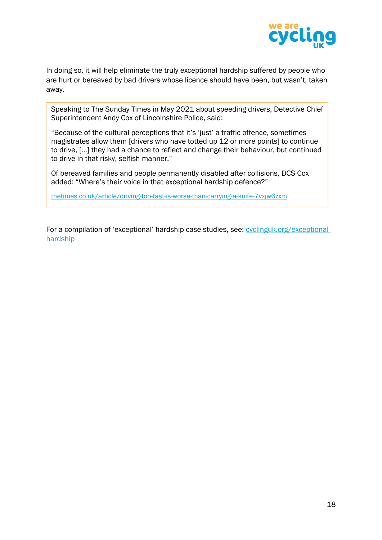

In doing so, it will help eliminate the truly exceptional hardship suffered by people who are hurt or bereaved by bad drivers whose licence should have been, but wasn't, taken away.

Speaking to The Sunday Times in May 2021 about speeding drivers, Detective Chief Superintendent Andy Cox of Lincolnshire Police, said:

"Because of the cultural perceptions that it's 'just' a traffic offence, sometimes magistrates allow them [drivers who have totted up 12 or more points] to continue to drive, […] they had a chance to reflect and change their behaviour, but continued to drive in that risky, selfish manner."

Of bereaved families and people permanently disabled after collisions, DCS Cox added: "Where's their voice in that exceptional hardship defence?"

[thetimes.co.uk/article/driving-too-fast-is-worse-than-carrying-a-knife-7vxjw6zxm](https://www.thetimes.co.uk/article/driving-too-fast-is-worse-than-carrying-a-knife-7vxjw6zxm)

For a compilation of 'exceptional' hardship case studies, see: [cyclinguk.org/exceptional](https://www.cyclinguk.org/exceptional-hardship)[hardship](https://www.cyclinguk.org/exceptional-hardship)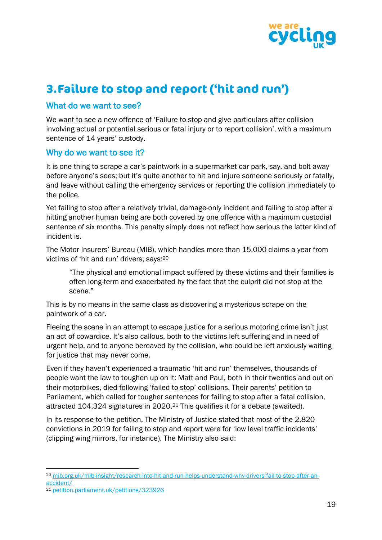

## <span id="page-19-0"></span>**3. Failure to stop and report ('hit and run')**

### What do we want to see?

We want to see a new offence of 'Failure to stop and give particulars after collision involving actual or potential serious or fatal injury or to report collision', with a maximum sentence of 14 years' custody.

### Why do we want to see it?

It is one thing to scrape a car's paintwork in a supermarket car park, say, and bolt away before anyone's sees; but it's quite another to hit and injure someone seriously or fatally, and leave without calling the emergency services or reporting the collision immediately to the police.

Yet failing to stop after a relatively trivial, damage-only incident and failing to stop after a hitting another human being are both covered by one offence with a maximum custodial sentence of six months. This penalty simply does not reflect how serious the latter kind of incident is.

The Motor Insurers' Bureau (MIB), which handles more than 15,000 claims a year from victims of 'hit and run' drivers, says:<sup>20</sup>

"The physical and emotional impact suffered by these victims and their families is often long-term and exacerbated by the fact that the culprit did not stop at the scene."

This is by no means in the same class as discovering a mysterious scrape on the paintwork of a car.

Fleeing the scene in an attempt to escape justice for a serious motoring crime isn't just an act of cowardice. It's also callous, both to the victims left suffering and in need of urgent help, and to anyone bereaved by the collision, who could be left anxiously waiting for justice that may never come.

Even if they haven't experienced a traumatic 'hit and run' themselves, thousands of people want the law to toughen up on it: Matt and Paul, both in their twenties and out on their motorbikes, died following 'failed to stop' collisions. Their parents' petition to Parliament, which called for tougher sentences for failing to stop after a fatal collision, attracted 104,324 signatures in 2020.<sup>21</sup> This qualifies it for a debate (awaited).

In its response to the petition, The Ministry of Justice stated that most of the 2,820 convictions in 2019 for failing to stop and report were for 'low level traffic incidents' (clipping wing mirrors, for instance). The Ministry also said:

<sup>20</sup> [mib.org.uk/mib-insight/research-into-hit-and-run-helps-understand-why-drivers-fail-to-stop-after-an](http://www.mib.org.uk/mib-insight/research-into-hit-and-run-helps-understand-why-drivers-fail-to-stop-after-an-accident/)[accident/](http://www.mib.org.uk/mib-insight/research-into-hit-and-run-helps-understand-why-drivers-fail-to-stop-after-an-accident/)

<sup>21</sup> [petition.parliament.uk/petitions/323926](https://petition.parliament.uk/petitions/323926)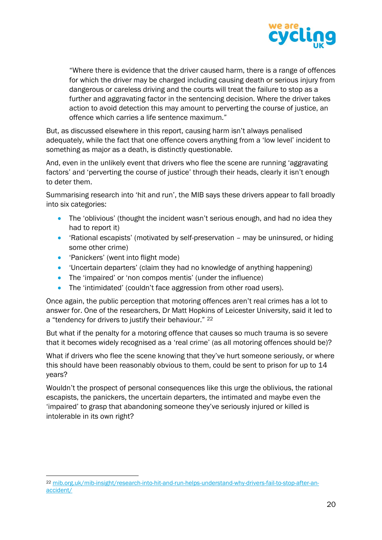

"Where there is evidence that the driver caused harm, there is a range of offences for which the driver may be charged including causing death or serious injury from dangerous or careless driving and the courts will treat the failure to stop as a further and aggravating factor in the sentencing decision. Where the driver takes action to avoid detection this may amount to perverting the course of justice, an offence which carries a life sentence maximum."

But, as discussed elsewhere in this report, causing harm isn't always penalised adequately, while the fact that one offence covers anything from a 'low level' incident to something as major as a death, is distinctly questionable.

And, even in the unlikely event that drivers who flee the scene are running 'aggravating factors' and 'perverting the course of justice' through their heads, clearly it isn't enough to deter them.

Summarising research into 'hit and run', the MIB says these drivers appear to fall broadly into six categories:

- The 'oblivious' (thought the incident wasn't serious enough, and had no idea they had to report it)
- 'Rational escapists' (motivated by self-preservation may be uninsured, or hiding some other crime)
- 'Panickers' (went into flight mode)
- 'Uncertain departers' (claim they had no knowledge of anything happening)
- The 'impaired' or 'non compos mentis' (under the influence)
- The 'intimidated' (couldn't face aggression from other road users).

Once again, the public perception that motoring offences aren't real crimes has a lot to answer for. One of the researchers, Dr Matt Hopkins of Leicester University, said it led to a "tendency for drivers to justify their behaviour." <sup>22</sup>

But what if the penalty for a motoring offence that causes so much trauma is so severe that it becomes widely recognised as a 'real crime' (as all motoring offences should be)?

What if drivers who flee the scene knowing that they've hurt someone seriously, or where this should have been reasonably obvious to them, could be sent to prison for up to 14 years?

Wouldn't the prospect of personal consequences like this urge the oblivious, the rational escapists, the panickers, the uncertain departers, the intimated and maybe even the 'impaired' to grasp that abandoning someone they've seriously injured or killed is intolerable in its own right?

<sup>22</sup> [mib.org.uk/mib-insight/research-into-hit-and-run-helps-understand-why-drivers-fail-to-stop-after-an](https://www.mib.org.uk/mib-insight/research-into-hit-and-run-helps-understand-why-drivers-fail-to-stop-after-an-accident/)[accident/](https://www.mib.org.uk/mib-insight/research-into-hit-and-run-helps-understand-why-drivers-fail-to-stop-after-an-accident/)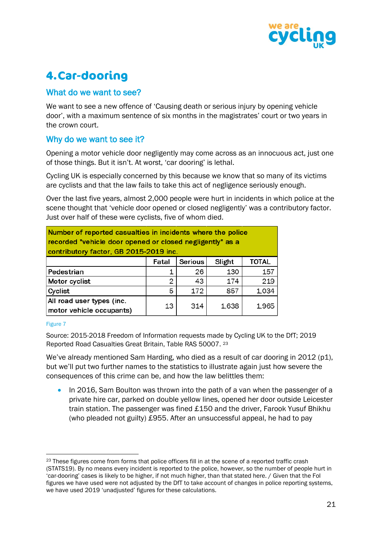

# <span id="page-21-0"></span>**4.Car-dooring**

### What do we want to see?

We want to see a new offence of 'Causing death or serious injury by opening vehicle door', with a maximum sentence of six months in the magistrates' court or two years in the crown court.

### Why do we want to see it?

Opening a motor vehicle door negligently may come across as an innocuous act, just one of those things. But it isn't. At worst, 'car dooring' is lethal.

Cycling UK is especially concerned by this because we know that so many of its victims are cyclists and that the law fails to take this act of negligence seriously enough.

Over the last five years, almost 2,000 people were hurt in incidents in which police at the scene thought that 'vehicle door opened or closed negligently' was a contributory factor. Just over half of these were cyclists, five of whom died.

| Number of reported casualties in incidents where the police<br>recorded "vehicle door opened or closed negligently" as a<br>contributory factor, GB 2015-2019 inc. |       |         |        |              |  |
|--------------------------------------------------------------------------------------------------------------------------------------------------------------------|-------|---------|--------|--------------|--|
|                                                                                                                                                                    | Fatal | Serious | Slight | <b>TOTAL</b> |  |
| Pedestrian                                                                                                                                                         |       | 26      | 130    | 157          |  |
| Motor cyclist                                                                                                                                                      | 2     | 43      | 174    | 219          |  |
| Cyclist                                                                                                                                                            | 5     | 172     | 857    | 1,034        |  |
| All road user types (inc.<br>motor vehicle occupants)                                                                                                              | 13    | 314     | 1,638  | 1,965        |  |

#### Figure 7

Source: 2015-2018 Freedom of Information requests made by Cycling UK to the DfT; 2019 Reported Road Casualties Great Britain, Table RAS 50007. <sup>23</sup>

We've already mentioned Sam Harding, who died as a result of car dooring in 2012 (p1). but we'll put two further names to the statistics to illustrate again just how severe the consequences of this crime can be, and how the law belittles them:

• In 2016, Sam Boulton was thrown into the path of a van when the passenger of a private hire car, parked on double yellow lines, opened her door outside Leicester train station. The passenger was fined £150 and the driver, Farook Yusuf Bhikhu (who pleaded not guilty) £955. After an unsuccessful appeal, he had to pay

<sup>&</sup>lt;sup>23</sup> These figures come from forms that police officers fill in at the scene of a reported traffic crash (STATS19). By no means every incident is reported to the police, however, so the number of people hurt in 'car-dooring' cases is likely to be higher, if not much higher, than that stated here. / Given that the FoI figures we have used were not adjusted by the DfT to take account of changes in police reporting systems, we have used 2019 'unadjusted' figures for these calculations.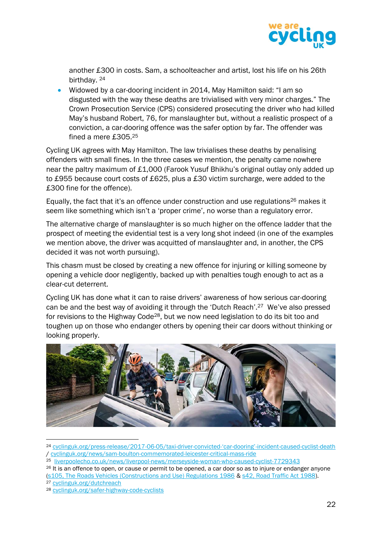

another £300 in costs. Sam, a schoolteacher and artist, lost his life on his 26th birthday. <sup>24</sup>

• Widowed by a car-dooring incident in 2014, May Hamilton said: "I am so disgusted with the way these deaths are trivialised with very minor charges." The Crown Prosecution Service (CPS) considered prosecuting the driver who had killed May's husband Robert, 76, for manslaughter but, without a realistic prospect of a conviction, a car-dooring offence was the safer option by far. The offender was fined a mere £305.<sup>25</sup>

Cycling UK agrees with May Hamilton. The law trivialises these deaths by penalising offenders with small fines. In the three cases we mention, the penalty came nowhere near the paltry maximum of £1,000 (Farook Yusuf Bhikhu's original outlay only added up to £955 because court costs of £625, plus a £30 victim surcharge, were added to the £300 fine for the offence).

Equally, the fact that it's an offence under construction and use regulations<sup>26</sup> makes it seem like something which isn't a 'proper crime', no worse than a regulatory error.

The alternative charge of manslaughter is so much higher on the offence ladder that the prospect of meeting the evidential test is a very long shot indeed (in one of the examples we mention above, the driver was acquitted of manslaughter and, in another, the CPS decided it was not worth pursuing).

This chasm must be closed by creating a new offence for injuring or killing someone by opening a vehicle door negligently, backed up with penalties tough enough to act as a clear-cut deterrent.

Cycling UK has done what it can to raise drivers' awareness of how serious car-dooring can be and the best way of avoiding it through the 'Dutch Reach'.<sup>27</sup> We've also pressed for revisions to the Highway Code28, but we now need legislation to do its bit too and toughen up on those who endanger others by opening their car doors without thinking or looking properly.



<sup>24</sup> [cyclinguk.org/press-release/2017-06-05/taxi-driver-convicted-](https://www.cyclinguk.org/press-release/2017-06-05/taxi-driver-convicted-%E2%80%98car-dooring%E2%80%99-incident-caused-cyclist-death)'car-dooring'-incident-caused-cyclist-death / [cyclinguk.org/news/sam-boulton-commemorated-leicester-critical-mass-ride](https://www.cyclinguk.org/news/sam-boulton-commemorated-leicester-critical-mass-ride)

- <sup>25</sup> [liverpoolecho.co.uk/news/liverpool-news/merseyside-woman-who-caused-cyclist-7729343](https://www.liverpoolecho.co.uk/news/liverpool-news/merseyside-woman-who-caused-cyclist-7729343)
- <sup>26</sup> It is an offence to open, or cause or permit to be opened, a car door so as to injure or endanger anyone [\(s105, The Roads Vehicles \(Constructions and Use\) Regulations 1986](http://www.legislation.gov.uk/uksi/1986/1078/regulation/105/made) & [s42, Road Traffic Act 1988\)](https://www.legislation.gov.uk/ukpga/1988/52/section/42). <sup>27</sup> [cyclinguk.org/dutchreach](http://www.cyclinguk.org/dutchreach)

<sup>28</sup> [cyclinguk.org/safer-highway-code-cyclists](http://www.cyclinguk.org/safer-highway-code-cyclists)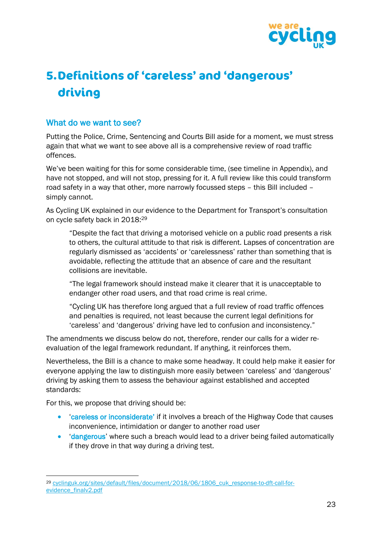

# <span id="page-23-0"></span>**5. Definitions of 'careless' and 'dangerous' driving**

### What do we want to see?

Putting the Police, Crime, Sentencing and Courts Bill aside for a moment, we must stress again that what we want to see above all is a comprehensive review of road traffic offences.

We've been waiting for this for some considerable time, (see timeline in Appendix), and have not stopped, and will not stop, pressing for it. A full review like this could transform road safety in a way that other, more narrowly focussed steps – this Bill included – simply cannot.

As Cycling UK explained in our evidence to the Department for Transport's consultation on cycle safety back in 2018:<sup>29</sup>

"Despite the fact that driving a motorised vehicle on a public road presents a risk to others, the cultural attitude to that risk is different. Lapses of concentration are regularly dismissed as 'accidents' or 'carelessness' rather than something that is avoidable, reflecting the attitude that an absence of care and the resultant collisions are inevitable.

"The legal framework should instead make it clearer that it is unacceptable to endanger other road users, and that road crime is real crime.

"Cycling UK has therefore long argued that a full review of road traffic offences and penalties is required, not least because the current legal definitions for 'careless' and 'dangerous' driving have led to confusion and inconsistency."

The amendments we discuss below do not, therefore, render our calls for a wider reevaluation of the legal framework redundant. If anything, it reinforces them.

Nevertheless, the Bill is a chance to make some headway. It could help make it easier for everyone applying the law to distinguish more easily between 'careless' and 'dangerous' driving by asking them to assess the behaviour against established and accepted standards:

For this, we propose that driving should be:

- 'careless or inconsiderate' if it involves a breach of the Highway Code that causes inconvenience, intimidation or danger to another road user
- dangerous' where such a breach would lead to a driver being failed automatically if they drove in that way during a driving test.

<sup>29</sup> [cyclinguk.org/sites/default/files/document/2018/06/1806\\_cuk\\_response-to-dft-call-for](http://www.cyclinguk.org/sites/default/files/document/2018/06/1806_cuk_response-to-dft-call-for-evidence_finalv2.pdf)[evidence\\_finalv2.pdf](http://www.cyclinguk.org/sites/default/files/document/2018/06/1806_cuk_response-to-dft-call-for-evidence_finalv2.pdf)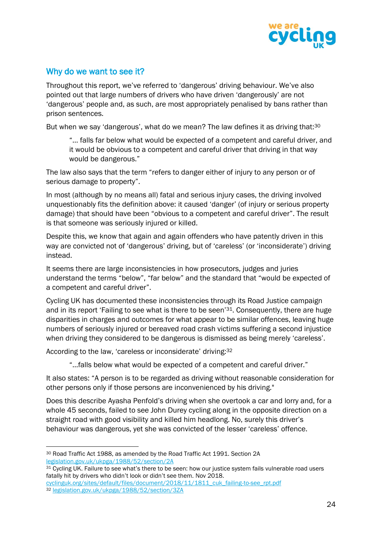

### Why do we want to see it?

Throughout this report, we've referred to 'dangerous' driving behaviour. We've also pointed out that large numbers of drivers who have driven 'dangerously' are not 'dangerous' people and, as such, are most appropriately penalised by bans rather than prison sentences.

But when we say 'dangerous', what do we mean? The law defines it as driving that:<sup>30</sup>

"… falls far below what would be expected of a competent and careful driver, and it would be obvious to a competent and careful driver that driving in that way would be dangerous."

The law also says that the term "refers to danger either of injury to any person or of serious damage to property".

In most (although by no means all) fatal and serious injury cases, the driving involved unquestionably fits the definition above: it caused 'danger' (of injury or serious property damage) that should have been "obvious to a competent and careful driver". The result is that someone was seriously injured or killed.

Despite this, we know that again and again offenders who have patently driven in this way are convicted not of 'dangerous' driving, but of 'careless' (or 'inconsiderate') driving instead.

It seems there are large inconsistencies in how prosecutors, judges and juries understand the terms "below", "far below" and the standard that "would be expected of a competent and careful driver".

Cycling UK has documented these inconsistencies through its Road Justice campaign and in its report 'Failing to see what is there to be seen'31. Consequently, there are huge disparities in charges and outcomes for what appear to be similar offences, leaving huge numbers of seriously injured or bereaved road crash victims suffering a second injustice when driving they considered to be dangerous is dismissed as being merely 'careless'.

According to the law, 'careless or inconsiderate' driving:<sup>32</sup>

"…falls below what would be expected of a competent and careful driver."

It also states: "A person is to be regarded as driving without reasonable consideration for other persons only if those persons are inconvenienced by his driving."

Does this describe Ayasha Penfold's driving when she overtook a car and lorry and, for a whole 45 seconds, failed to see John Durey cycling along in the opposite direction on a straight road with good visibility and killed him headlong. No, surely this driver's behaviour was dangerous, yet she was convicted of the lesser 'careless' offence.

<sup>30</sup> Road Traffic Act 1988, as amended by the Road Traffic Act 1991. Section 2A [legislation.gov.uk/ukpga/1988/52/section/2A](https://www.legislation.gov.uk/ukpga/1988/52/section/2A)

<sup>31</sup> Cycling UK. Failure to see what's there to be seen: how our justice system fails vulnerable road users fatally hit by drivers who didn't look or didn't see them. Nov 2018.

[cyclinguk.org/sites/default/files/document/2018/11/1811\\_cuk\\_failing-to-see\\_rpt.pdf](https://www.cyclinguk.org/sites/default/files/document/2018/11/1811_cuk_failing-to-see_rpt.pdf) <sup>32</sup> [legislation.gov.uk/ukpga/1988/52/section/3ZA](https://www.legislation.gov.uk/ukpga/1988/52/section/3ZA)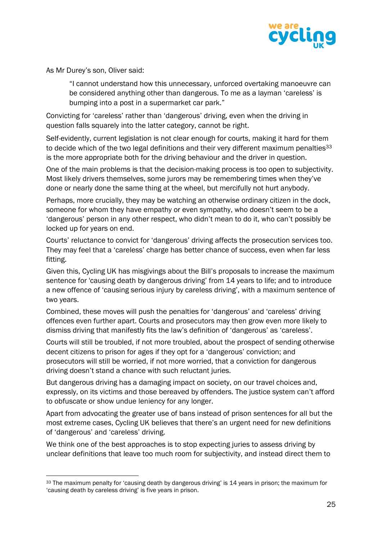

As Mr Durey's son, Oliver said:

"I cannot understand how this unnecessary, unforced overtaking manoeuvre can be considered anything other than dangerous. To me as a layman 'careless' is bumping into a post in a supermarket car park."

Convicting for 'careless' rather than 'dangerous' driving, even when the driving in question falls squarely into the latter category, cannot be right.

Self-evidently, current legislation is not clear enough for courts, making it hard for them to decide which of the two legal definitions and their very different maximum penalties<sup>33</sup> is the more appropriate both for the driving behaviour and the driver in question.

One of the main problems is that the decision-making process is too open to subjectivity. Most likely drivers themselves, some jurors may be remembering times when they've done or nearly done the same thing at the wheel, but mercifully not hurt anybody.

Perhaps, more crucially, they may be watching an otherwise ordinary citizen in the dock, someone for whom they have empathy or even sympathy, who doesn't seem to be a 'dangerous' person in any other respect, who didn't mean to do it, who can't possibly be locked up for years on end.

Courts' reluctance to convict for 'dangerous' driving affects the prosecution services too. They may feel that a 'careless' charge has better chance of success, even when far less fitting.

Given this, Cycling UK has misgivings about the Bill's proposals to increase the maximum sentence for 'causing death by dangerous driving' from 14 years to life; and to introduce a new offence of 'causing serious injury by careless driving', with a maximum sentence of two years.

Combined, these moves will push the penalties for 'dangerous' and 'careless' driving offences even further apart. Courts and prosecutors may then grow even more likely to dismiss driving that manifestly fits the law's definition of 'dangerous' as 'careless'.

Courts will still be troubled, if not more troubled, about the prospect of sending otherwise decent citizens to prison for ages if they opt for a 'dangerous' conviction; and prosecutors will still be worried, if not more worried, that a conviction for dangerous driving doesn't stand a chance with such reluctant juries.

But dangerous driving has a damaging impact on society, on our travel choices and, expressly, on its victims and those bereaved by offenders. The justice system can't afford to obfuscate or show undue leniency for any longer.

Apart from advocating the greater use of bans instead of prison sentences for all but the most extreme cases, Cycling UK believes that there's an urgent need for new definitions of 'dangerous' and 'careless' driving.

We think one of the best approaches is to stop expecting juries to assess driving by unclear definitions that leave too much room for subjectivity, and instead direct them to

<sup>&</sup>lt;sup>33</sup> The maximum penalty for 'causing death by dangerous driving' is 14 years in prison; the maximum for 'causing death by careless driving' is five years in prison.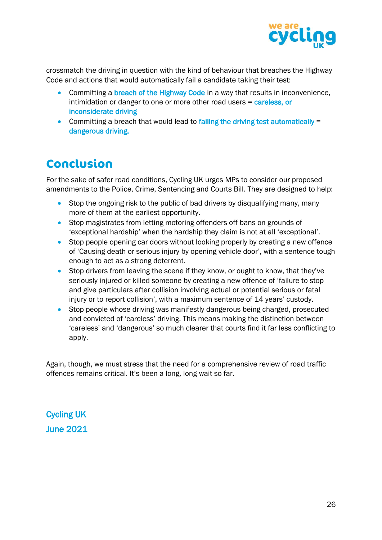

crossmatch the driving in question with the kind of behaviour that breaches the Highway Code and actions that would automatically fail a candidate taking their test:

- Committing a breach of the Highway Code in a way that results in inconvenience, intimidation or danger to one or more other road users = careless, or inconsiderate driving
- Committing a breach that would lead to failing the driving test automatically = dangerous driving.

### <span id="page-26-0"></span>**Conclusion**

For the sake of safer road conditions, Cycling UK urges MPs to consider our proposed amendments to the Police, Crime, Sentencing and Courts Bill. They are designed to help:

- Stop the ongoing risk to the public of bad drivers by disqualifying many, many more of them at the earliest opportunity.
- Stop magistrates from letting motoring offenders off bans on grounds of 'exceptional hardship' when the hardship they claim is not at all 'exceptional'.
- Stop people opening car doors without looking properly by creating a new offence of 'Causing death or serious injury by opening vehicle door', with a sentence tough enough to act as a strong deterrent.
- Stop drivers from leaving the scene if they know, or ought to know, that they've seriously injured or killed someone by creating a new offence of 'failure to stop and give particulars after collision involving actual or potential serious or fatal injury or to report collision', with a maximum sentence of 14 years' custody.
- Stop people whose driving was manifestly dangerous being charged, prosecuted and convicted of 'careless' driving. This means making the distinction between 'careless' and 'dangerous' so much clearer that courts find it far less conflicting to apply.

Again, though, we must stress that the need for a comprehensive review of road traffic offences remains critical. It's been a long, long wait so far.

Cycling UK June 2021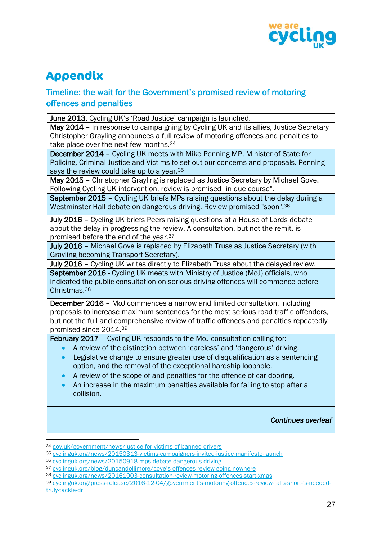

## <span id="page-27-0"></span>**Appendix**

### Timeline: the wait for the Government's promised review of motoring offences and penalties

June 2013. Cycling UK's 'Road Justice' campaign is launched.

May 2014 – In response to campaigning by Cycling UK and its allies, Justice Secretary Christopher Grayling announces a full review of motoring offences and penalties to take place over the next few months.<sup>34</sup>

December 2014 – Cycling UK meets with Mike Penning MP, Minister of State for Policing, Criminal Justice and Victims to set out our concerns and proposals. Penning says the review could take up to a year.<sup>35</sup>

May 2015 – Christopher Grayling is replaced as Justice Secretary by Michael Gove. Following Cycling UK intervention, review is promised "in due course".

September 2015 – Cycling UK briefs MPs raising questions about the delay during a Westminster Hall debate on dangerous driving. Review promised "soon".<sup>36</sup>

July 2016 – Cycling UK briefs Peers raising questions at a House of Lords debate about the delay in progressing the review. A consultation, but not the remit, is promised before the end of the year.<sup>37</sup>

July 2016 – Michael Gove is replaced by Elizabeth Truss as Justice Secretary (with Grayling becoming Transport Secretary).

July 2016 - Cycling UK writes directly to Elizabeth Truss about the delayed review.

September 2016 - Cycling UK meets with Ministry of Justice (MoJ) officials, who indicated the public consultation on serious driving offences will commence before Christmas. 38

December 2016 – MoJ commences a narrow and limited consultation, including proposals to increase maximum sentences for the most serious road traffic offenders, but not the full and comprehensive review of traffic offences and penalties repeatedly promised since 2014. 39

February 2017 - Cycling UK responds to the MoJ consultation calling for:

- A review of the distinction between 'careless' and 'dangerous' driving.
- Legislative change to ensure greater use of disqualification as a sentencing option, and the removal of the exceptional hardship loophole.
- A review of the scope of and penalties for the offence of car dooring.
- An increase in the maximum penalties available for failing to stop after a collision.

*Continues overleaf* 

<sup>34</sup> [gov.uk/government/news/justice-for-victims-of-banned-drivers](http://www.gov.uk/government/news/justice-for-victims-of-banned-drivers)

<sup>35</sup> [cyclinguk.org/news/20150313-victims-campaigners-invited-justice-manifesto-launch](http://www.cyclinguk.org/news/20150313-victims-campaigners-invited-justice-manifesto-launch)

<sup>36</sup> [cyclinguk.org/news/20150918-mps-debate-dangerous-driving](http://www.cyclinguk.org/news/20150918-mps-debate-dangerous-driving)

<sup>37</sup> cyclinguk.org/blog/duncandollimore/gove's[-offences-review-going-nowhere](http://www.cyclinguk.org/blog/duncandollimore/gove’s-offences-review-going-nowhere)

<sup>38</sup> [cyclinguk.org/news/20161003-consultation-review-motoring-offences-start-xmas](http://www.cyclinguk.org/news/20161003-consultation-review-motoring-offences-start-xmas)

<sup>39</sup> [cyclinguk.org/press-release/2016-12-](http://www.cyclinguk.org/press-release/2016-12-04/government’s-motoring-offences-review-falls-short-’s-needed-truly-tackle-dr)04/government's-motoring-offences-review-falls-short-'s-needed[truly-tackle-dr](http://www.cyclinguk.org/press-release/2016-12-04/government’s-motoring-offences-review-falls-short-’s-needed-truly-tackle-dr)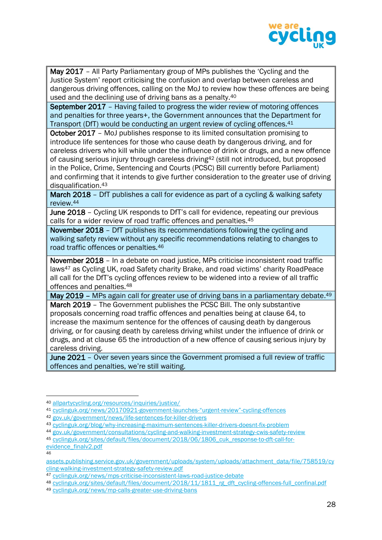

May 2017 – All Party Parliamentary group of MPs publishes the 'Cycling and the Justice System' report criticising the confusion and overlap between careless and dangerous driving offences, calling on the MoJ to review how these offences are being used and the declining use of driving bans as a penalty.<sup>40</sup>

September 2017 – Having failed to progress the wider review of motoring offences and penalties for three years+, the Government announces that the Department for Transport (DfT) would be conducting an urgent review of cycling offences. 41

October 2017 – MoJ publishes response to its limited consultation promising to introduce life sentences for those who cause death by dangerous driving, and for careless drivers who kill while under the influence of drink or drugs, and a new offence of causing serious injury through careless driving<sup>42</sup> (still not introduced, but proposed in the Police, Crime, Sentencing and Courts (PCSC) Bill currently before Parliament) and confirming that it intends to give further consideration to the greater use of driving disqualification. 43

March 2018 - DfT publishes a call for evidence as part of a cycling & walking safety review. 44

June 2018 – Cycling UK responds to DfT's call for evidence, repeating our previous calls for a wider review of road traffic offences and penalties.<sup>45</sup>

November 2018 – DfT publishes its recommendations following the cycling and walking safety review without any specific recommendations relating to changes to road traffic offences or penalties.<sup>46</sup>

November 2018 - In a debate on road justice, MPs criticise inconsistent road traffic laws<sup>47</sup> as Cycling UK, road Safety charity Brake, and road victims' charity RoadPeace all call for the DfT's cycling offences review to be widened into a review of all traffic offences and penalties.<sup>48</sup>

May 2019 - MPs again call for greater use of driving bans in a parliamentary debate.<sup>49</sup>

March 2019 – The Government publishes the PCSC Bill. The only substantive proposals concerning road traffic offences and penalties being at clause 64, to increase the maximum sentence for the offences of causing death by dangerous driving, or for causing death by careless driving whilst under the influence of drink or drugs, and at clause 65 the introduction of a new offence of causing serious injury by careless driving.

June 2021 – Over seven years since the Government promised a full review of traffic offences and penalties, we're still waiting.

<sup>40</sup> [allpartycycling.org/resources/inquiries/justice/](https://allpartycycling.org/resources/inquiries/justice/)

<sup>41</sup> [cyclinguk.org/news/20170921-government-launches-](https://www.cyclinguk.org/news/20170921-government-launches-)"urgent-review"-cycling-offences

<sup>42</sup> [gov.uk/government/news/life-sentences-for-killer-drivers](http://www.gov.uk/government/news/life-sentences-for-killer-drivers)

<sup>43</sup> [cyclinguk.org/blog/why-increasing-maximum-sentences-killer-drivers-doesnt-fix-problem](https://www.cyclinguk.org/blog/why-increasing-maximum-sentences-killer-drivers-doesnt-fix-problem)

<sup>44</sup> [gov.uk/government/consultations/cycling-and-walking-investment-strategy-cwis-safety-review](http://www.gov.uk/government/consultations/cycling-and-walking-investment-strategy-cwis-safety-review)

<sup>45</sup> [cyclinguk.org/sites/default/files/document/2018/06/1806\\_cuk\\_response-to-dft-call-for](http://www.cyclinguk.org/sites/default/files/document/2018/06/1806_cuk_response-to-dft-call-for-evidence_finalv2.pdf)[evidence\\_finalv2.pdf](http://www.cyclinguk.org/sites/default/files/document/2018/06/1806_cuk_response-to-dft-call-for-evidence_finalv2.pdf) 46

[assets.publishing.service.gov.uk/government/uploads/system/uploads/attachment\\_data/file/758519/cy](https://assets.publishing.service.gov.uk/government/uploads/system/uploads/attachment_data/file/758519/cycling-walking-investment-strategy-safety-review.pdf) [cling-walking-investment-strategy-safety-review.pdf](https://assets.publishing.service.gov.uk/government/uploads/system/uploads/attachment_data/file/758519/cycling-walking-investment-strategy-safety-review.pdf)

<sup>47</sup> [cyclinguk.org/news/mps-criticise-inconsistent-laws-road-justice-debate](http://www.cyclinguk.org/news/mps-criticise-inconsistent-laws-road-justice-debate)

<sup>48</sup> [cyclinguk.org/sites/default/files/document/2018/11/1811\\_rg\\_dft\\_cycling-offences-full\\_confinal.pdf](https://www.cyclinguk.org/sites/default/files/document/2018/11/1811_rg_dft_cycling-offences-full_confinal.pdf)

<sup>49</sup> [cyclinguk.org/news/mp-calls-greater-use-driving-bans](http://www.cyclinguk.org/news/mp-calls-greater-use-driving-bans)